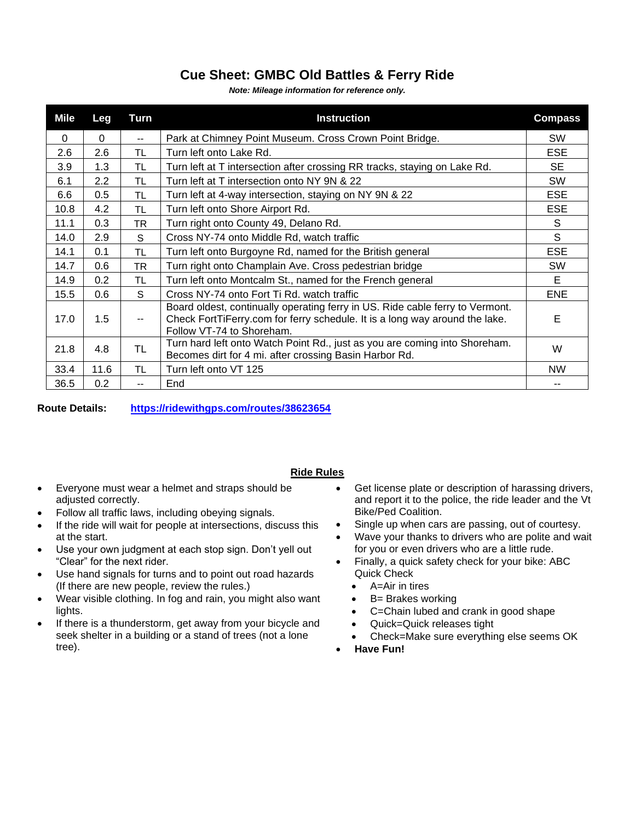## **Cue Sheet: GMBC Old Battles & Ferry Ride**

*Note: Mileage information for reference only.*

| Mile     | Leg      | Turn                     | <b>Instruction</b>                                                                                                                                                                        | <b>Compass</b> |
|----------|----------|--------------------------|-------------------------------------------------------------------------------------------------------------------------------------------------------------------------------------------|----------------|
| $\Omega$ | $\Omega$ | $\overline{\phantom{a}}$ | Park at Chimney Point Museum. Cross Crown Point Bridge.                                                                                                                                   | <b>SW</b>      |
| 2.6      | 2.6      | <b>TL</b>                | Turn left onto Lake Rd.                                                                                                                                                                   | <b>ESE</b>     |
| 3.9      | 1.3      | TL.                      | Turn left at T intersection after crossing RR tracks, staying on Lake Rd.                                                                                                                 | SE.            |
| 6.1      | 2.2      | TL                       | Turn left at T intersection onto NY 9N & 22                                                                                                                                               | SW             |
| 6.6      | 0.5      | TL.                      | Turn left at 4-way intersection, staying on NY 9N & 22                                                                                                                                    | <b>ESE</b>     |
| 10.8     | 4.2      | TL                       | Turn left onto Shore Airport Rd.                                                                                                                                                          | <b>ESE</b>     |
| 11.1     | 0.3      | TR                       | Turn right onto County 49, Delano Rd.                                                                                                                                                     | S              |
| 14.0     | 2.9      | S                        | Cross NY-74 onto Middle Rd, watch traffic                                                                                                                                                 | S              |
| 14.1     | 0.1      | TL.                      | Turn left onto Burgoyne Rd, named for the British general                                                                                                                                 | <b>ESE</b>     |
| 14.7     | 0.6      | TR.                      | Turn right onto Champlain Ave. Cross pedestrian bridge                                                                                                                                    | <b>SW</b>      |
| 14.9     | 0.2      | TL.                      | Turn left onto Montcalm St., named for the French general                                                                                                                                 | E              |
| 15.5     | 0.6      | S                        | Cross NY-74 onto Fort Ti Rd. watch traffic                                                                                                                                                | <b>ENE</b>     |
| 17.0     | 1.5      | $\overline{\phantom{a}}$ | Board oldest, continually operating ferry in US. Ride cable ferry to Vermont.<br>Check FortTiFerry.com for ferry schedule. It is a long way around the lake.<br>Follow VT-74 to Shoreham. | Е              |
| 21.8     | 4.8      | TL                       | Turn hard left onto Watch Point Rd., just as you are coming into Shoreham.<br>Becomes dirt for 4 mi. after crossing Basin Harbor Rd.                                                      | W              |
| 33.4     | 11.6     | <b>TL</b>                | Turn left onto VT 125                                                                                                                                                                     | <b>NW</b>      |
| 36.5     | 0.2      | --                       | End                                                                                                                                                                                       | --             |

**Route Details: <https://ridewithgps.com/routes/38623654>**

## **Ride Rules**

- Everyone must wear a helmet and straps should be adjusted correctly.
- Follow all traffic laws, including obeying signals.
- If the ride will wait for people at intersections, discuss this at the start.
- Use your own judgment at each stop sign. Don't yell out "Clear" for the next rider.
- Use hand signals for turns and to point out road hazards (If there are new people, review the rules.)
- Wear visible clothing. In fog and rain, you might also want lights.
- If there is a thunderstorm, get away from your bicycle and seek shelter in a building or a stand of trees (not a lone tree).
- Get license plate or description of harassing drivers, and report it to the police, the ride leader and the Vt Bike/Ped Coalition.
- Single up when cars are passing, out of courtesy.
- Wave your thanks to drivers who are polite and wait for you or even drivers who are a little rude.
- Finally, a quick safety check for your bike: ABC Quick Check
	- A=Air in tires
	- B= Brakes working
	- C=Chain lubed and crank in good shape
	- Quick=Quick releases tight
	- Check=Make sure everything else seems OK
- **Have Fun!**